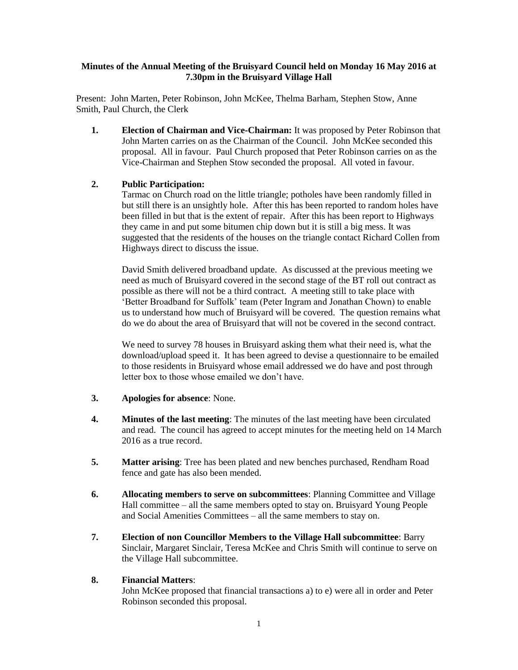# **Minutes of the Annual Meeting of the Bruisyard Council held on Monday 16 May 2016 at 7.30pm in the Bruisyard Village Hall**

Present: John Marten, Peter Robinson, John McKee, Thelma Barham, Stephen Stow, Anne Smith, Paul Church, the Clerk

**1. Election of Chairman and Vice-Chairman:** It was proposed by Peter Robinson that John Marten carries on as the Chairman of the Council. John McKee seconded this proposal. All in favour. Paul Church proposed that Peter Robinson carries on as the Vice-Chairman and Stephen Stow seconded the proposal. All voted in favour.

# **2. Public Participation:**

Tarmac on Church road on the little triangle; potholes have been randomly filled in but still there is an unsightly hole. After this has been reported to random holes have been filled in but that is the extent of repair. After this has been report to Highways they came in and put some bitumen chip down but it is still a big mess. It was suggested that the residents of the houses on the triangle contact Richard Collen from Highways direct to discuss the issue.

David Smith delivered broadband update. As discussed at the previous meeting we need as much of Bruisyard covered in the second stage of the BT roll out contract as possible as there will not be a third contract. A meeting still to take place with 'Better Broadband for Suffolk' team (Peter Ingram and Jonathan Chown) to enable us to understand how much of Bruisyard will be covered. The question remains what do we do about the area of Bruisyard that will not be covered in the second contract.

We need to survey 78 houses in Bruisyard asking them what their need is, what the download/upload speed it. It has been agreed to devise a questionnaire to be emailed to those residents in Bruisyard whose email addressed we do have and post through letter box to those whose emailed we don't have.

- **3. Apologies for absence**: None.
- **4. Minutes of the last meeting**: The minutes of the last meeting have been circulated and read. The council has agreed to accept minutes for the meeting held on 14 March 2016 as a true record.
- **5. Matter arising**: Tree has been plated and new benches purchased, Rendham Road fence and gate has also been mended.
- **6. Allocating members to serve on subcommittees**: Planning Committee and Village Hall committee – all the same members opted to stay on. Bruisyard Young People and Social Amenities Committees – all the same members to stay on.
- **7. Election of non Councillor Members to the Village Hall subcommittee**: Barry Sinclair, Margaret Sinclair, Teresa McKee and Chris Smith will continue to serve on the Village Hall subcommittee.

# **8. Financial Matters**:

John McKee proposed that financial transactions a) to e) were all in order and Peter Robinson seconded this proposal.